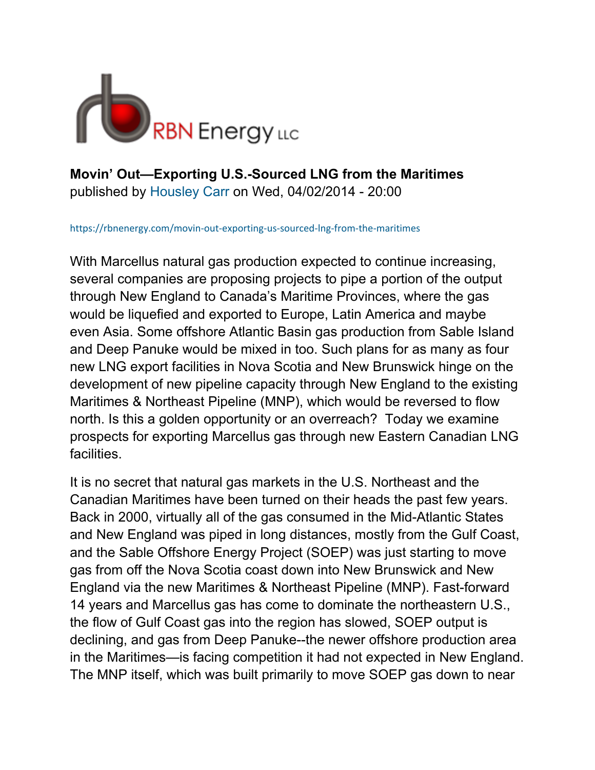

**Movin' Out—Exporting U.S.-Sourced LNG from the Maritimes**  published by Housley Carr on Wed, 04/02/2014 - 20:00

https://rbnenergy.com/movin-out-exporting-us-sourced-lng-from-the-maritimes

With Marcellus natural gas production expected to continue increasing, several companies are proposing projects to pipe a portion of the output through New England to Canada's Maritime Provinces, where the gas would be liquefied and exported to Europe, Latin America and maybe even Asia. Some offshore Atlantic Basin gas production from Sable Island and Deep Panuke would be mixed in too. Such plans for as many as four new LNG export facilities in Nova Scotia and New Brunswick hinge on the development of new pipeline capacity through New England to the existing Maritimes & Northeast Pipeline (MNP), which would be reversed to flow north. Is this a golden opportunity or an overreach? Today we examine prospects for exporting Marcellus gas through new Eastern Canadian LNG facilities.

It is no secret that natural gas markets in the U.S. Northeast and the Canadian Maritimes have been turned on their heads the past few years. Back in 2000, virtually all of the gas consumed in the Mid-Atlantic States and New England was piped in long distances, mostly from the Gulf Coast, and the Sable Offshore Energy Project (SOEP) was just starting to move gas from off the Nova Scotia coast down into New Brunswick and New England via the new Maritimes & Northeast Pipeline (MNP). Fast-forward 14 years and Marcellus gas has come to dominate the northeastern U.S., the flow of Gulf Coast gas into the region has slowed, SOEP output is declining, and gas from Deep Panuke--the newer offshore production area in the Maritimes—is facing competition it had not expected in New England. The MNP itself, which was built primarily to move SOEP gas down to near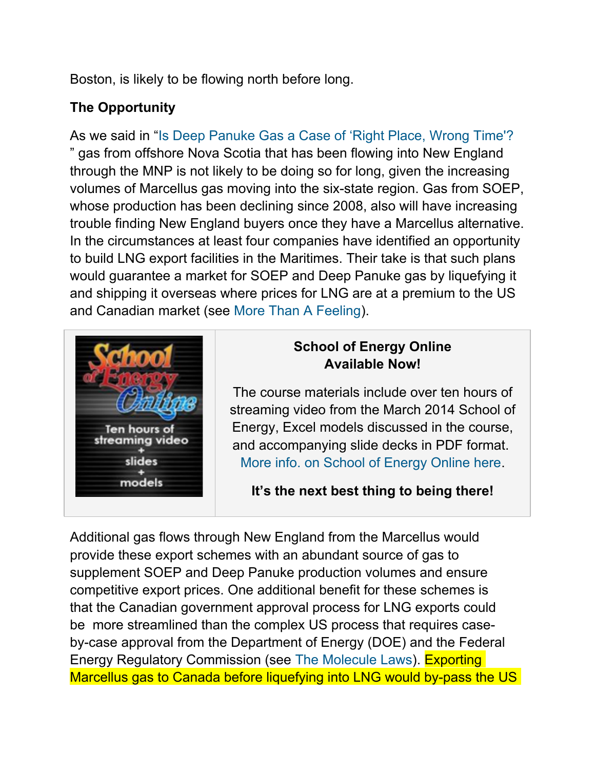Boston, is likely to be flowing north before long.

# **The Opportunity**

As we said in "Is Deep Panuke Gas a Case of 'Right Place, Wrong Time'? " gas from offshore Nova Scotia that has been flowing into New England through the MNP is not likely to be doing so for long, given the increasing volumes of Marcellus gas moving into the six-state region. Gas from SOEP, whose production has been declining since 2008, also will have increasing trouble finding New England buyers once they have a Marcellus alternative. In the circumstances at least four companies have identified an opportunity to build LNG export facilities in the Maritimes. Their take is that such plans would guarantee a market for SOEP and Deep Panuke gas by liquefying it and shipping it overseas where prices for LNG are at a premium to the US and Canadian market (see More Than A Feeling).



# **School of Energy Online Available Now!**

The course materials include over ten hours of streaming video from the March 2014 School of Energy, Excel models discussed in the course, and accompanying slide decks in PDF format. More info. on School of Energy Online here.

**It's the next best thing to being there!**

Additional gas flows through New England from the Marcellus would provide these export schemes with an abundant source of gas to supplement SOEP and Deep Panuke production volumes and ensure competitive export prices. One additional benefit for these schemes is that the Canadian government approval process for LNG exports could be more streamlined than the complex US process that requires caseby-case approval from the Department of Energy (DOE) and the Federal Energy Regulatory Commission (see The Molecule Laws). Exporting Marcellus gas to Canada before liquefying into LNG would by-pass the US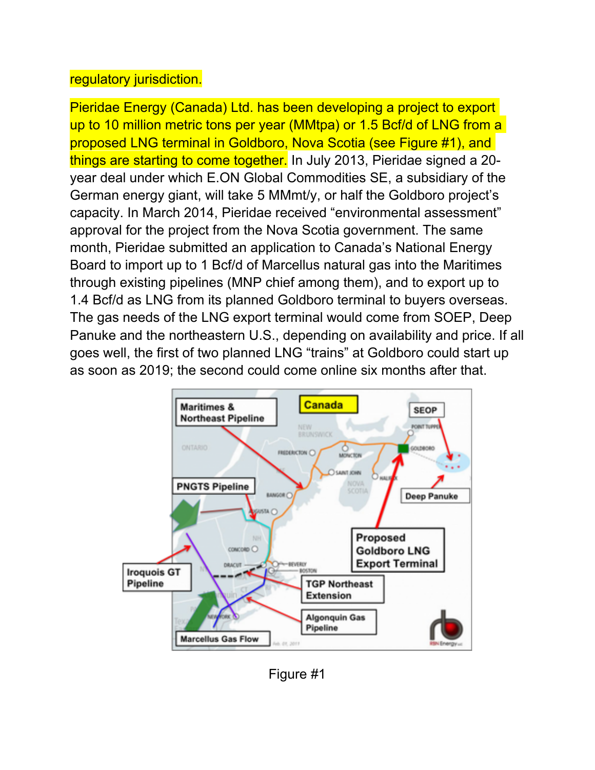## regulatory jurisdiction.

Pieridae Energy (Canada) Ltd. has been developing a project to export up to 10 million metric tons per year (MMtpa) or 1.5 Bcf/d of LNG from a proposed LNG terminal in Goldboro, Nova Scotia (see Figure #1), and things are starting to come together. In July 2013, Pieridae signed a 20 year deal under which E.ON Global Commodities SE, a subsidiary of the German energy giant, will take 5 MMmt/y, or half the Goldboro project's capacity. In March 2014, Pieridae received "environmental assessment" approval for the project from the Nova Scotia government. The same month, Pieridae submitted an application to Canada's National Energy Board to import up to 1 Bcf/d of Marcellus natural gas into the Maritimes through existing pipelines (MNP chief among them), and to export up to 1.4 Bcf/d as LNG from its planned Goldboro terminal to buyers overseas. The gas needs of the LNG export terminal would come from SOEP, Deep Panuke and the northeastern U.S., depending on availability and price. If all goes well, the first of two planned LNG "trains" at Goldboro could start up as soon as 2019; the second could come online six months after that.



Figure #1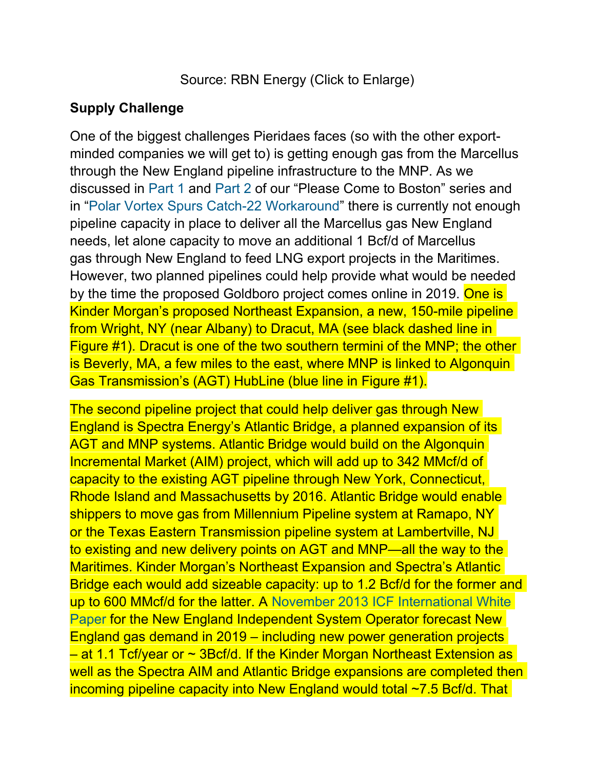Source: RBN Energy (Click to Enlarge)

### **Supply Challenge**

One of the biggest challenges Pieridaes faces (so with the other exportminded companies we will get to) is getting enough gas from the Marcellus through the New England pipeline infrastructure to the MNP. As we discussed in Part 1 and Part 2 of our "Please Come to Boston" series and in "Polar Vortex Spurs Catch-22 Workaround" there is currently not enough pipeline capacity in place to deliver all the Marcellus gas New England needs, let alone capacity to move an additional 1 Bcf/d of Marcellus gas through New England to feed LNG export projects in the Maritimes. However, two planned pipelines could help provide what would be needed by the time the proposed Goldboro project comes online in 2019. One is Kinder Morgan's proposed Northeast Expansion, a new, 150-mile pipeline from Wright, NY (near Albany) to Dracut, MA (see black dashed line in Figure #1). Dracut is one of the two southern termini of the MNP; the other is Beverly, MA, a few miles to the east, where MNP is linked to Algonquin Gas Transmission's (AGT) HubLine (blue line in Figure #1).

The second pipeline project that could help deliver gas through New England is Spectra Energy's Atlantic Bridge, a planned expansion of its AGT and MNP systems. Atlantic Bridge would build on the Algonquin Incremental Market (AIM) project, which will add up to 342 MMcf/d of capacity to the existing AGT pipeline through New York, Connecticut, Rhode Island and Massachusetts by 2016. Atlantic Bridge would enable shippers to move gas from Millennium Pipeline system at Ramapo, NY or the Texas Eastern Transmission pipeline system at Lambertville, NJ to existing and new delivery points on AGT and MNP—all the way to the Maritimes. Kinder Morgan's Northeast Expansion and Spectra's Atlantic Bridge each would add sizeable capacity: up to 1.2 Bcf/d for the former and up to 600 MMcf/d for the latter. A November 2013 ICF International White Paper for the New England Independent System Operator forecast New England gas demand in 2019 – including new power generation projects – at 1.1 Tcf/year or ~ 3Bcf/d. If the Kinder Morgan Northeast Extension as well as the Spectra AIM and Atlantic Bridge expansions are completed then incoming pipeline capacity into New England would total ~7.5 Bcf/d. That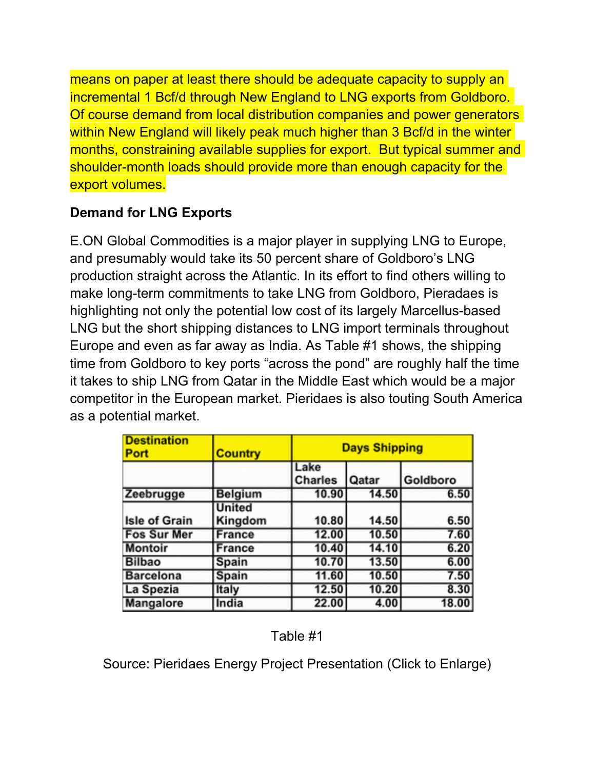means on paper at least there should be adequate capacity to supply an incremental 1 Bcf/d through New England to LNG exports from Goldboro. Of course demand from local distribution companies and power generators within New England will likely peak much higher than 3 Bcf/d in the winter months, constraining available supplies for export. But typical summer and shoulder-month loads should provide more than enough capacity for the export volumes.

# **Demand for LNG Exports**

E.ON Global Commodities is a major player in supplying LNG to Europe, and presumably would take its 50 percent share of Goldboro's LNG production straight across the Atlantic. In its effort to find others willing to make long-term commitments to take LNG from Goldboro, Pieradaes is highlighting not only the potential low cost of its largely Marcellus-based LNG but the short shipping distances to LNG import terminals throughout Europe and even as far away as India. As Table #1 shows, the shipping time from Goldboro to key ports "across the pond" are roughly half the time it takes to ship LNG from Qatar in the Middle East which would be a major competitor in the European market. Pieridaes is also touting South America as a potential market.

| <b>Destination</b><br>Port | Country                  |                        | <b>Days Shipping</b> |          |  |
|----------------------------|--------------------------|------------------------|----------------------|----------|--|
|                            |                          | Lake<br><b>Charles</b> | Qatar                | Goldboro |  |
| Zeebrugge                  | <b>Belgium</b>           | 10.90                  | 14.50                | 6.50     |  |
| <b>Isle of Grain</b>       | <b>United</b><br>Kingdom | 10.80                  | 14.50                | 6.50     |  |
| <b>Fos Sur Mer</b>         | France                   | 12.00                  | 10.50                | 7.60     |  |
| <b>Montoir</b>             | France                   | 10.40                  | 14.10                | 6.20     |  |
| <b>Bilbao</b>              | Spain                    | 10.70                  | 13.50                | 6.00     |  |
| Barcelona                  | <b>Spain</b>             | 11.60                  | 10.50                | 7.50     |  |
| La Spezia                  | Italy                    | 12.50                  | 10.20                | 8.30     |  |
| Mangalore                  | India                    | 22.00                  | 4.00                 | 18.00    |  |

Table #1

Source: Pieridaes Energy Project Presentation (Click to Enlarge)